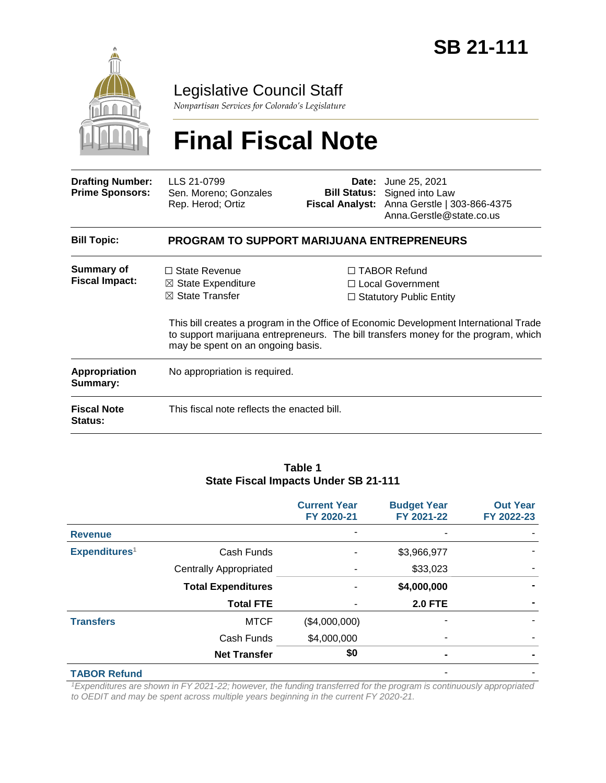

Legislative Council Staff

*Nonpartisan Services for Colorado's Legislature*

# **Final Fiscal Note**

| <b>Drafting Number:</b><br><b>Prime Sponsors:</b> | LLS 21-0799<br>Sen. Moreno; Gonzales<br>Rep. Herod; Ortiz                                                                |  | <b>Date:</b> June 25, 2021<br><b>Bill Status:</b> Signed into Law<br>Fiscal Analyst: Anna Gerstle   303-866-4375<br>Anna.Gerstle@state.co.us                                                                                                                     |  |  |
|---------------------------------------------------|--------------------------------------------------------------------------------------------------------------------------|--|------------------------------------------------------------------------------------------------------------------------------------------------------------------------------------------------------------------------------------------------------------------|--|--|
| <b>Bill Topic:</b>                                | <b>PROGRAM TO SUPPORT MARIJUANA ENTREPRENEURS</b>                                                                        |  |                                                                                                                                                                                                                                                                  |  |  |
| <b>Summary of</b><br><b>Fiscal Impact:</b>        | $\Box$ State Revenue<br>$\boxtimes$ State Expenditure<br>$\boxtimes$ State Transfer<br>may be spent on an ongoing basis. |  | $\Box$ TABOR Refund<br>$\Box$ Local Government<br>$\Box$ Statutory Public Entity<br>This bill creates a program in the Office of Economic Development International Trade<br>to support marijuana entrepreneurs. The bill transfers money for the program, which |  |  |
| Appropriation<br>Summary:                         | No appropriation is required.                                                                                            |  |                                                                                                                                                                                                                                                                  |  |  |
| <b>Fiscal Note</b><br><b>Status:</b>              | This fiscal note reflects the enacted bill.                                                                              |  |                                                                                                                                                                                                                                                                  |  |  |

#### **Table 1 State Fiscal Impacts Under SB 21-111**

|                           |                               | <b>Current Year</b><br>FY 2020-21 | <b>Budget Year</b><br>FY 2021-22 | <b>Out Year</b><br>FY 2022-23 |
|---------------------------|-------------------------------|-----------------------------------|----------------------------------|-------------------------------|
| <b>Revenue</b>            |                               |                                   |                                  |                               |
| Expenditures <sup>1</sup> | Cash Funds                    |                                   | \$3,966,977                      |                               |
|                           | <b>Centrally Appropriated</b> |                                   | \$33,023                         |                               |
|                           | <b>Total Expenditures</b>     |                                   | \$4,000,000                      |                               |
|                           | <b>Total FTE</b>              |                                   | <b>2.0 FTE</b>                   |                               |
| <b>Transfers</b>          | <b>MTCF</b>                   | (\$4,000,000)                     |                                  |                               |
|                           | Cash Funds                    | \$4,000,000                       |                                  |                               |
|                           | <b>Net Transfer</b>           | \$0                               |                                  |                               |
| <b>TABOR Refund</b>       |                               |                                   |                                  |                               |

*<sup>1</sup>Expenditures are shown in FY 2021-22; however, the funding transferred for the program is continuously appropriated to OEDIT and may be spent across multiple years beginning in the current FY 2020-21.*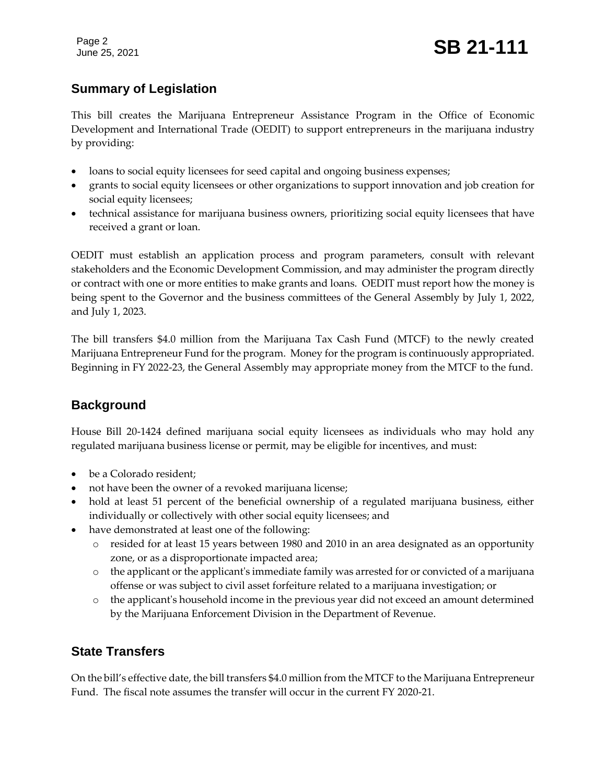Page 2

# **Summary of Legislation**

This bill creates the Marijuana Entrepreneur Assistance Program in the Office of Economic Development and International Trade (OEDIT) to support entrepreneurs in the marijuana industry by providing:

- loans to social equity licensees for seed capital and ongoing business expenses;
- grants to social equity licensees or other organizations to support innovation and job creation for social equity licensees;
- technical assistance for marijuana business owners, prioritizing social equity licensees that have received a grant or loan.

OEDIT must establish an application process and program parameters, consult with relevant stakeholders and the Economic Development Commission, and may administer the program directly or contract with one or more entities to make grants and loans. OEDIT must report how the money is being spent to the Governor and the business committees of the General Assembly by July 1, 2022, and July 1, 2023.

The bill transfers \$4.0 million from the Marijuana Tax Cash Fund (MTCF) to the newly created Marijuana Entrepreneur Fund for the program. Money for the program is continuously appropriated. Beginning in FY 2022-23, the General Assembly may appropriate money from the MTCF to the fund.

## **Background**

House Bill 20-1424 defined marijuana social equity licensees as individuals who may hold any regulated marijuana business license or permit, may be eligible for incentives, and must:

- be a Colorado resident;
- not have been the owner of a revoked marijuana license;
- hold at least 51 percent of the beneficial ownership of a regulated marijuana business, either individually or collectively with other social equity licensees; and
- have demonstrated at least one of the following:
	- o resided for at least 15 years between 1980 and 2010 in an area designated as an opportunity zone, or as a disproportionate impacted area;
	- o the applicant or the applicant's immediate family was arrested for or convicted of a marijuana offense or was subject to civil asset forfeiture related to a marijuana investigation; or
	- o the applicant's household income in the previous year did not exceed an amount determined by the Marijuana Enforcement Division in the Department of Revenue.

## **State Transfers**

On the bill's effective date, the bill transfers \$4.0 million from the MTCF to the Marijuana Entrepreneur Fund. The fiscal note assumes the transfer will occur in the current FY 2020-21.